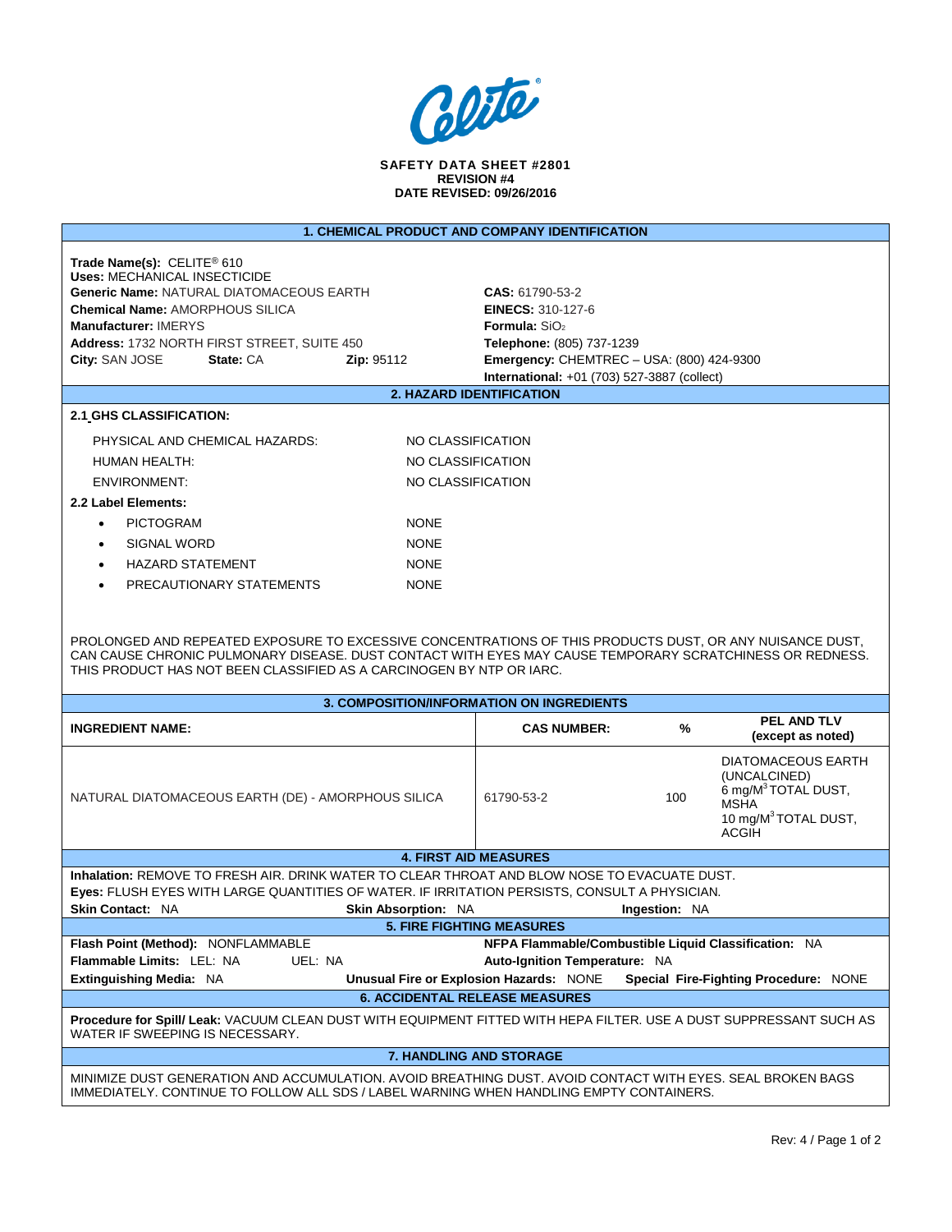

**SAFETY DATA SHEET #2801 REVISION #4 DATE REVISED: 09/26/2016**

| Trade Name(s): CELITE <sup>®</sup> 610<br><b>Uses: MECHANICAL INSECTICIDE</b><br><b>Generic Name: NATURAL DIATOMACEOUS EARTH</b><br>CAS: 61790-53-2<br><b>Chemical Name: AMORPHOUS SILICA</b><br><b>EINECS: 310-127-6</b><br>Manufacturer: IMERYS<br><b>Formula:</b> $SiO2$<br>Address: 1732 NORTH FIRST STREET, SUITE 450<br>Telephone: (805) 737-1239<br>City: SAN JOSE<br>State: CA<br><b>Emergency: CHEMTREC - USA: (800) 424-9300</b><br><b>Zip: 95112</b><br>International: +01 (703) 527-3887 (collect)<br><b>2. HAZARD IDENTIFICATION</b><br>2.1 GHS CLASSIFICATION:<br>PHYSICAL AND CHEMICAL HAZARDS:<br>NO CLASSIFICATION<br>NO CLASSIFICATION<br>HUMAN HEALTH:<br><b>ENVIRONMENT:</b><br>NO CLASSIFICATION<br>2.2 Label Elements:<br><b>PICTOGRAM</b><br><b>NONE</b><br>$\bullet$<br><b>SIGNAL WORD</b><br><b>NONE</b><br>$\bullet$<br><b>HAZARD STATEMENT</b><br><b>NONE</b><br>PRECAUTIONARY STATEMENTS<br><b>NONE</b><br>$\bullet$<br>PROLONGED AND REPEATED EXPOSURE TO EXCESSIVE CONCENTRATIONS OF THIS PRODUCTS DUST, OR ANY NUISANCE DUST,<br>CAN CAUSE CHRONIC PULMONARY DISEASE. DUST CONTACT WITH EYES MAY CAUSE TEMPORARY SCRATCHINESS OR REDNESS.<br>THIS PRODUCT HAS NOT BEEN CLASSIFIED AS A CARCINOGEN BY NTP OR IARC.<br>3. COMPOSITION/INFORMATION ON INGREDIENTS<br>PEL AND TLV<br>%<br><b>INGREDIENT NAME:</b><br><b>CAS NUMBER:</b><br>(except as noted)<br>DIATOMACEOUS EARTH<br>(UNCALCINED)<br>6 mg/M <sup>3</sup> TOTAL DUST,<br>NATURAL DIATOMACEOUS EARTH (DE) - AMORPHOUS SILICA<br>100<br>61790-53-2<br>MSHA<br>10 mg/M <sup>3</sup> TOTAL DUST,<br>ACGIH<br><b>4. FIRST AID MEASURES</b><br>Inhalation: REMOVE TO FRESH AIR, DRINK WATER TO CLEAR THROAT AND BLOW NOSE TO EVACUATE DUST.<br>Eyes: FLUSH EYES WITH LARGE QUANTITIES OF WATER. IF IRRITATION PERSISTS, CONSULT A PHYSICIAN.<br><b>Skin Absorption: NA</b><br>Skin Contact: NA<br><b>Ingestion: NA</b><br><b>5. FIRE FIGHTING MEASURES</b><br>NFPA Flammable/Combustible Liquid Classification: NA<br>Flash Point (Method): NONFLAMMABLE<br>Flammable Limits: LEL: NA<br>UEL: NA<br>Auto-Ignition Temperature: NA<br>Extinguishing Media: NA<br>Unusual Fire or Explosion Hazards: NONE<br>Special Fire-Fighting Procedure: NONE<br><b>6. ACCIDENTAL RELEASE MEASURES</b><br>Procedure for Spill/ Leak: VACUUM CLEAN DUST WITH EQUIPMENT FITTED WITH HEPA FILTER. USE A DUST SUPPRESSANT SUCH AS<br>WATER IF SWEEPING IS NECESSARY.<br>7. HANDLING AND STORAGE<br>MINIMIZE DUST GENERATION AND ACCUMULATION. AVOID BREATHING DUST. AVOID CONTACT WITH EYES. SEAL BROKEN BAGS<br>IMMEDIATELY. CONTINUE TO FOLLOW ALL SDS / LABEL WARNING WHEN HANDLING EMPTY CONTAINERS. |                                                       |  |  |  |  |  |  |  |  |
|------------------------------------------------------------------------------------------------------------------------------------------------------------------------------------------------------------------------------------------------------------------------------------------------------------------------------------------------------------------------------------------------------------------------------------------------------------------------------------------------------------------------------------------------------------------------------------------------------------------------------------------------------------------------------------------------------------------------------------------------------------------------------------------------------------------------------------------------------------------------------------------------------------------------------------------------------------------------------------------------------------------------------------------------------------------------------------------------------------------------------------------------------------------------------------------------------------------------------------------------------------------------------------------------------------------------------------------------------------------------------------------------------------------------------------------------------------------------------------------------------------------------------------------------------------------------------------------------------------------------------------------------------------------------------------------------------------------------------------------------------------------------------------------------------------------------------------------------------------------------------------------------------------------------------------------------------------------------------------------------------------------------------------------------------------------------------------------------------------------------------------------------------------------------------------------------------------------------------------------------------------------------------------------------------------------------------------------------------------------------------------------------------------------------------------------------------------------------------------------------------------------------------------------------------------------------------------------------------------------------------------------------------------------------------|-------------------------------------------------------|--|--|--|--|--|--|--|--|
|                                                                                                                                                                                                                                                                                                                                                                                                                                                                                                                                                                                                                                                                                                                                                                                                                                                                                                                                                                                                                                                                                                                                                                                                                                                                                                                                                                                                                                                                                                                                                                                                                                                                                                                                                                                                                                                                                                                                                                                                                                                                                                                                                                                                                                                                                                                                                                                                                                                                                                                                                                                                                                                                              | <b>1. CHEMICAL PRODUCT AND COMPANY IDENTIFICATION</b> |  |  |  |  |  |  |  |  |
|                                                                                                                                                                                                                                                                                                                                                                                                                                                                                                                                                                                                                                                                                                                                                                                                                                                                                                                                                                                                                                                                                                                                                                                                                                                                                                                                                                                                                                                                                                                                                                                                                                                                                                                                                                                                                                                                                                                                                                                                                                                                                                                                                                                                                                                                                                                                                                                                                                                                                                                                                                                                                                                                              |                                                       |  |  |  |  |  |  |  |  |
|                                                                                                                                                                                                                                                                                                                                                                                                                                                                                                                                                                                                                                                                                                                                                                                                                                                                                                                                                                                                                                                                                                                                                                                                                                                                                                                                                                                                                                                                                                                                                                                                                                                                                                                                                                                                                                                                                                                                                                                                                                                                                                                                                                                                                                                                                                                                                                                                                                                                                                                                                                                                                                                                              |                                                       |  |  |  |  |  |  |  |  |
|                                                                                                                                                                                                                                                                                                                                                                                                                                                                                                                                                                                                                                                                                                                                                                                                                                                                                                                                                                                                                                                                                                                                                                                                                                                                                                                                                                                                                                                                                                                                                                                                                                                                                                                                                                                                                                                                                                                                                                                                                                                                                                                                                                                                                                                                                                                                                                                                                                                                                                                                                                                                                                                                              |                                                       |  |  |  |  |  |  |  |  |
|                                                                                                                                                                                                                                                                                                                                                                                                                                                                                                                                                                                                                                                                                                                                                                                                                                                                                                                                                                                                                                                                                                                                                                                                                                                                                                                                                                                                                                                                                                                                                                                                                                                                                                                                                                                                                                                                                                                                                                                                                                                                                                                                                                                                                                                                                                                                                                                                                                                                                                                                                                                                                                                                              |                                                       |  |  |  |  |  |  |  |  |
|                                                                                                                                                                                                                                                                                                                                                                                                                                                                                                                                                                                                                                                                                                                                                                                                                                                                                                                                                                                                                                                                                                                                                                                                                                                                                                                                                                                                                                                                                                                                                                                                                                                                                                                                                                                                                                                                                                                                                                                                                                                                                                                                                                                                                                                                                                                                                                                                                                                                                                                                                                                                                                                                              |                                                       |  |  |  |  |  |  |  |  |
|                                                                                                                                                                                                                                                                                                                                                                                                                                                                                                                                                                                                                                                                                                                                                                                                                                                                                                                                                                                                                                                                                                                                                                                                                                                                                                                                                                                                                                                                                                                                                                                                                                                                                                                                                                                                                                                                                                                                                                                                                                                                                                                                                                                                                                                                                                                                                                                                                                                                                                                                                                                                                                                                              |                                                       |  |  |  |  |  |  |  |  |
|                                                                                                                                                                                                                                                                                                                                                                                                                                                                                                                                                                                                                                                                                                                                                                                                                                                                                                                                                                                                                                                                                                                                                                                                                                                                                                                                                                                                                                                                                                                                                                                                                                                                                                                                                                                                                                                                                                                                                                                                                                                                                                                                                                                                                                                                                                                                                                                                                                                                                                                                                                                                                                                                              |                                                       |  |  |  |  |  |  |  |  |
|                                                                                                                                                                                                                                                                                                                                                                                                                                                                                                                                                                                                                                                                                                                                                                                                                                                                                                                                                                                                                                                                                                                                                                                                                                                                                                                                                                                                                                                                                                                                                                                                                                                                                                                                                                                                                                                                                                                                                                                                                                                                                                                                                                                                                                                                                                                                                                                                                                                                                                                                                                                                                                                                              |                                                       |  |  |  |  |  |  |  |  |
|                                                                                                                                                                                                                                                                                                                                                                                                                                                                                                                                                                                                                                                                                                                                                                                                                                                                                                                                                                                                                                                                                                                                                                                                                                                                                                                                                                                                                                                                                                                                                                                                                                                                                                                                                                                                                                                                                                                                                                                                                                                                                                                                                                                                                                                                                                                                                                                                                                                                                                                                                                                                                                                                              |                                                       |  |  |  |  |  |  |  |  |
|                                                                                                                                                                                                                                                                                                                                                                                                                                                                                                                                                                                                                                                                                                                                                                                                                                                                                                                                                                                                                                                                                                                                                                                                                                                                                                                                                                                                                                                                                                                                                                                                                                                                                                                                                                                                                                                                                                                                                                                                                                                                                                                                                                                                                                                                                                                                                                                                                                                                                                                                                                                                                                                                              |                                                       |  |  |  |  |  |  |  |  |
|                                                                                                                                                                                                                                                                                                                                                                                                                                                                                                                                                                                                                                                                                                                                                                                                                                                                                                                                                                                                                                                                                                                                                                                                                                                                                                                                                                                                                                                                                                                                                                                                                                                                                                                                                                                                                                                                                                                                                                                                                                                                                                                                                                                                                                                                                                                                                                                                                                                                                                                                                                                                                                                                              |                                                       |  |  |  |  |  |  |  |  |
|                                                                                                                                                                                                                                                                                                                                                                                                                                                                                                                                                                                                                                                                                                                                                                                                                                                                                                                                                                                                                                                                                                                                                                                                                                                                                                                                                                                                                                                                                                                                                                                                                                                                                                                                                                                                                                                                                                                                                                                                                                                                                                                                                                                                                                                                                                                                                                                                                                                                                                                                                                                                                                                                              |                                                       |  |  |  |  |  |  |  |  |
|                                                                                                                                                                                                                                                                                                                                                                                                                                                                                                                                                                                                                                                                                                                                                                                                                                                                                                                                                                                                                                                                                                                                                                                                                                                                                                                                                                                                                                                                                                                                                                                                                                                                                                                                                                                                                                                                                                                                                                                                                                                                                                                                                                                                                                                                                                                                                                                                                                                                                                                                                                                                                                                                              |                                                       |  |  |  |  |  |  |  |  |
|                                                                                                                                                                                                                                                                                                                                                                                                                                                                                                                                                                                                                                                                                                                                                                                                                                                                                                                                                                                                                                                                                                                                                                                                                                                                                                                                                                                                                                                                                                                                                                                                                                                                                                                                                                                                                                                                                                                                                                                                                                                                                                                                                                                                                                                                                                                                                                                                                                                                                                                                                                                                                                                                              |                                                       |  |  |  |  |  |  |  |  |
|                                                                                                                                                                                                                                                                                                                                                                                                                                                                                                                                                                                                                                                                                                                                                                                                                                                                                                                                                                                                                                                                                                                                                                                                                                                                                                                                                                                                                                                                                                                                                                                                                                                                                                                                                                                                                                                                                                                                                                                                                                                                                                                                                                                                                                                                                                                                                                                                                                                                                                                                                                                                                                                                              |                                                       |  |  |  |  |  |  |  |  |
|                                                                                                                                                                                                                                                                                                                                                                                                                                                                                                                                                                                                                                                                                                                                                                                                                                                                                                                                                                                                                                                                                                                                                                                                                                                                                                                                                                                                                                                                                                                                                                                                                                                                                                                                                                                                                                                                                                                                                                                                                                                                                                                                                                                                                                                                                                                                                                                                                                                                                                                                                                                                                                                                              |                                                       |  |  |  |  |  |  |  |  |